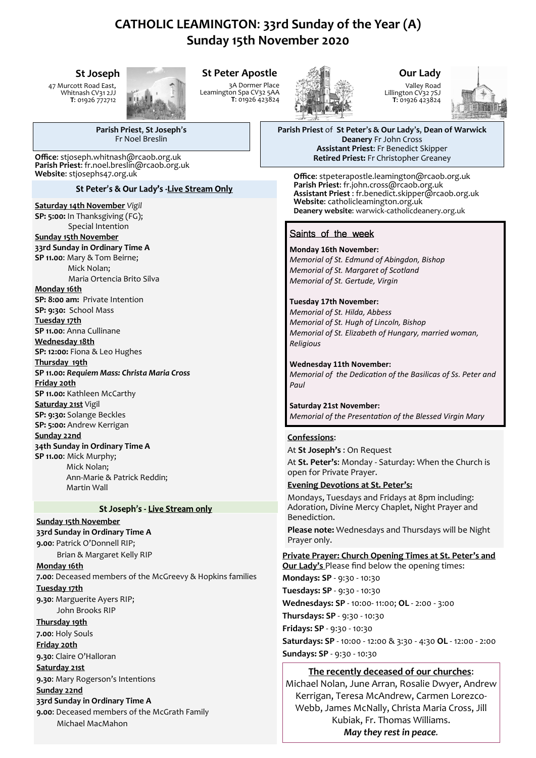# **CATHOLIC LEAMINGTON**: **33rd Sunday of the Year (A) Sunday 15th November 2020**

### **St Joseph**

47 Murcott Road East, Whitnash CV31 2JJ **T**: 01926 772712



# **St Peter Apostle**

3A Dormer Place Leamington Spa CV32 5AA **T**: 01926 423824



# **Our Lady**

Valley Road Lillington CV32 7SJ **T**: 01926 423824



**Parish Priest** of **St Peter**'**s & Our Lady**'**s**, **Dean of Warwick Deanery** Fr John Cross **Assistant Priest**: Fr Benedict Skipper

**Office**: stpeterapostle.leamington@rcaob.org.uk **Parish Priest**: fr.john.cross@rcaob.org.uk **Assistant Priest** : fr.benedict.skipper@rcaob.org.uk **Website**: catholicleamington.org.uk **Deanery website**: warwick-[catholicdeanery.org.uk](https://eur01.safelinks.protection.outlook.com/?url=http%3A%2F%2Fwarwick-catholicdeanery.org.uk%2Fnewsletter-sign-up%2F&data=02%7C01%7C%7C721285f1bfe64a92393d08d7a351cd53%7C84df9e7fe9f640afb435aaaaaaaaaaaa%7C1%7C0%7C637157444038479073&sdata=wJyzCzyquvWm6KYBMn)

# Saints of the week

**Monday 16th November:**  *Memorial of St. Edmund of Abingdon, Bishop Memorial of St. Margaret of Scotland Memorial of St. Gertude, Virgin*

**Tuesday 17th November:**  *Memorial of St. Hilda, Abbess Memorial of St. Hugh of Lincoln, Bishop Memorial of St. Elizabeth of Hungary, married woman, Religious*

**Wednesday 11th November:**  *Memorial of the Dedication of the Basilicas of Ss. Peter and Paul*

**Saturday 21st November:**  *Memorial of the Presentation of the Blessed Virgin Mary*

#### **Confessions**:

At **St Joseph's** : On Request

At **St. Peter's**: Monday - Saturday: When the Church is open for Private Prayer.

#### **Evening Devotions at St. Peter's:**

Mondays, Tuesdays and Fridays at 8pm including: Adoration, Divine Mercy Chaplet, Night Prayer and Benediction.

**Please note:** Wednesdays and Thursdays will be Night Prayer only.

**Private Prayer: Church Opening Times at St. Peter's and Our Lady's** Please find below the opening times: **Mondays: SP** - 9:30 - 10:30 **Tuesdays: SP** - 9:30 - 10:30 **Wednesdays: SP** - 10:00- 11:00; **OL** - 2:00 - 3:00 **Thursdays: SP** - 9:30 - 10:30 **Fridays: SP** - 9:30 - 10:30

**Saturdays: SP** - 10:00 - 12:00 & 3:30 - 4:30 **OL** - 12:00 - 2:00 **Sundays: SP** - 9:30 - 10:30

#### **The recently deceased of our churches**:

Michael Nolan, June Arran, Rosalie Dwyer, Andrew Kerrigan, Teresa McAndrew, Carmen Lorezco-Webb, James McNally, Christa Maria Cross, Jill Kubiak, Fr. Thomas Williams. *May they rest in peace.*

**Parish Priest**, **St Joseph**'**s** Fr Noel Breslin

**Office**: stjoseph.whitnash@rcaob.org.uk **Retired Priest:** Fr Christopher Greaney **Parish Priest**: fr.noel.breslin@rcaob.org.uk **Website**: stjosephs47.org.uk

St Peter's & Our Lady's -Live Stream Only

#### **Saturday 14th November** *Vigil*

**SP: 5:00:** In Thanksgiving (FG); Special Intention

**Sunday 15th November 33rd Sunday in Ordinary Time A SP 11.00**: Mary & Tom Beirne; Mick Nolan; Maria Ortencia Brito Silva

#### **Monday 16th**

**SP: 8:00 am:** Private Intention **SP: 9:30:** School Mass

**Tuesday 17th** 

**SP 11.00**: Anna Cullinane

**Wednesday 18th SP: 12:00:** Fiona & Leo Hughes

**Thursday 19th**

**SP 11.00:** *Requiem Mass: Christa Maria Cross* **Friday 20th SP 11.00:** Kathleen McCarthy

**Saturday 21st** Vigil

**SP: 9:30:** Solange Beckles

**SP: 5:00:** Andrew Kerrigan **Sunday 22nd**

**34th Sunday in Ordinary Time A SP 11.00**: Mick Murphy; Mick Nolan; Ann-Marie & Patrick Reddin;

#### St Joseph's - Live Stream only

**Sunday 15th November 33rd Sunday in Ordinary Time A**

Martin Wall

**9.00**: Patrick O'Donnell RIP;

Brian & Margaret Kelly RIP

**Monday 16th 7.00**: Deceased members of the McGreevy & Hopkins families **Tuesday 17th 9.30**: Marguerite Ayers RIP;

John Brooks RIP

**Thursday 19th 7.00**: Holy Souls

**Friday 20th**

**9.30**: Claire O'Halloran

**Saturday 21st**

**9.30**: Mary Rogerson's Intentions

**Sunday 22nd 33rd Sunday in Ordinary Time A 9.00**: Deceased members of the McGrath Family

Michael MacMahon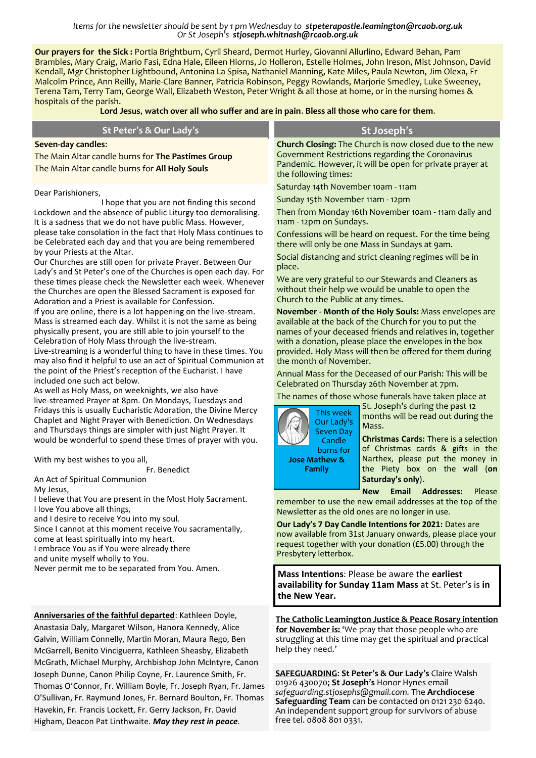#### *Items for the newsletter should be sent by 1 pm Wednesday to stpeterapostle.leamington@rcaob.org.uk Or St Joseph's stjoseph.whitnash@rcaob.org.uk*

**Our prayers for the Sick :** Portia Brightburn, Cyril Sheard, Dermot Hurley, Giovanni Allurlino, Edward Behan, Pam Brambles, Mary Craig, Mario Fasi, Edna Hale, Eileen Hiorns, Jo Holleron, Estelle Holmes, John Ireson, Mist Johnson, David Kendall, Mgr Christopher Lightbound, Antonina La Spisa, Nathaniel Manning, Kate Miles, Paula Newton, Jim Olexa, Fr Malcolm Prince, Ann Reilly, Marie-Clare Banner, Patricia Robinson, Peggy Rowlands, Marjorie Smedley, Luke Sweeney, Terena Tam, Terry Tam, George Wall, Elizabeth Weston, Peter Wright & all those at home, or in the nursing homes & hospitals of the parish.

**Lord Jesus**, **watch over all who suffer and are in pain**. **Bless all those who care for them**.

| St Peter's & Our Lady's                                                                                                                                                                                                                                                                                                                                                                                                                                                                                                                                                                                                                                                                                                                                                                                                                                                                                                                                                                                                                                                                                                                                                                                                                                                                                                                                                                                                                                                                                                                                                                                                                                                                                                                                                                                                                                                                                                                                                                                                                                   | St Joseph's                                                                                                                                                                                                                                                                                                                                                                                                                                                                                                                                                                                                                                                                                                                                                                                                                                                                                                                                                                                                                                                                                                                                                                                                                                                                                                                                                                                                                                                                                                                                                                                                                                                                                                                                                                                                                                                                                     |
|-----------------------------------------------------------------------------------------------------------------------------------------------------------------------------------------------------------------------------------------------------------------------------------------------------------------------------------------------------------------------------------------------------------------------------------------------------------------------------------------------------------------------------------------------------------------------------------------------------------------------------------------------------------------------------------------------------------------------------------------------------------------------------------------------------------------------------------------------------------------------------------------------------------------------------------------------------------------------------------------------------------------------------------------------------------------------------------------------------------------------------------------------------------------------------------------------------------------------------------------------------------------------------------------------------------------------------------------------------------------------------------------------------------------------------------------------------------------------------------------------------------------------------------------------------------------------------------------------------------------------------------------------------------------------------------------------------------------------------------------------------------------------------------------------------------------------------------------------------------------------------------------------------------------------------------------------------------------------------------------------------------------------------------------------------------|-------------------------------------------------------------------------------------------------------------------------------------------------------------------------------------------------------------------------------------------------------------------------------------------------------------------------------------------------------------------------------------------------------------------------------------------------------------------------------------------------------------------------------------------------------------------------------------------------------------------------------------------------------------------------------------------------------------------------------------------------------------------------------------------------------------------------------------------------------------------------------------------------------------------------------------------------------------------------------------------------------------------------------------------------------------------------------------------------------------------------------------------------------------------------------------------------------------------------------------------------------------------------------------------------------------------------------------------------------------------------------------------------------------------------------------------------------------------------------------------------------------------------------------------------------------------------------------------------------------------------------------------------------------------------------------------------------------------------------------------------------------------------------------------------------------------------------------------------------------------------------------------------|
| Seven-day candles:<br>The Main Altar candle burns for The Pastimes Group<br>The Main Altar candle burns for All Holy Souls                                                                                                                                                                                                                                                                                                                                                                                                                                                                                                                                                                                                                                                                                                                                                                                                                                                                                                                                                                                                                                                                                                                                                                                                                                                                                                                                                                                                                                                                                                                                                                                                                                                                                                                                                                                                                                                                                                                                | Church Closing: The Church is now closed due to the new<br>Government Restrictions regarding the Coronavirus<br>Pandemic. However, it will be open for private prayer at<br>the following times:                                                                                                                                                                                                                                                                                                                                                                                                                                                                                                                                                                                                                                                                                                                                                                                                                                                                                                                                                                                                                                                                                                                                                                                                                                                                                                                                                                                                                                                                                                                                                                                                                                                                                                |
| Dear Parishioners,<br>I hope that you are not finding this second<br>Lockdown and the absence of public Liturgy too demoralising.<br>It is a sadness that we do not have public Mass. However,<br>please take consolation in the fact that Holy Mass continues to<br>be Celebrated each day and that you are being remembered<br>by your Priests at the Altar.<br>Our Churches are still open for private Prayer. Between Our<br>Lady's and St Peter's one of the Churches is open each day. For<br>these times please check the Newsletter each week. Whenever<br>the Churches are open the Blessed Sacrament is exposed for<br>Adoration and a Priest is available for Confession.<br>If you are online, there is a lot happening on the live-stream.<br>Mass is streamed each day. Whilst it is not the same as being<br>physically present, you are still able to join yourself to the<br>Celebration of Holy Mass through the live-stream.<br>Live-streaming is a wonderful thing to have in these times. You<br>may also find it helpful to use an act of Spiritual Communion at<br>the point of the Priest's reception of the Eucharist. I have<br>included one such act below.<br>As well as Holy Mass, on weeknights, we also have<br>live-streamed Prayer at 8pm. On Mondays, Tuesdays and<br>Fridays this is usually Eucharistic Adoration, the Divine Mercy<br>Chaplet and Night Prayer with Benediction. On Wednesdays<br>and Thursdays things are simpler with just Night Prayer. It<br>would be wonderful to spend these times of prayer with you.<br>With my best wishes to you all,<br>Fr. Benedict<br>An Act of Spiritual Communion<br>My Jesus,<br>I believe that You are present in the Most Holy Sacrament.<br>I love You above all things,<br>and I desire to receive You into my soul.<br>Since I cannot at this moment receive You sacramentally,<br>come at least spiritually into my heart.<br>I embrace You as if You were already there<br>and unite myself wholly to You.<br>Never permit me to be separated from You. Amen. | Saturday 14th November 10am - 11am<br>Sunday 15th November 11am - 12pm<br>Then from Monday 16th November 10am - 11am daily and<br>11am - 12pm on Sundays.<br>Confessions will be heard on request. For the time being<br>there will only be one Mass in Sundays at 9am.<br>Social distancing and strict cleaning regimes will be in<br>place.<br>We are very grateful to our Stewards and Cleaners as<br>without their help we would be unable to open the<br>Church to the Public at any times.<br>November - Month of the Holy Souls: Mass envelopes are<br>available at the back of the Church for you to put the<br>names of your deceased friends and relatives in, together<br>with a donation, please place the envelopes in the box<br>provided. Holy Mass will then be offered for them during<br>the month of November.<br>Annual Mass for the Deceased of our Parish: This will be<br>Celebrated on Thursday 26th November at 7pm.<br>The names of those whose funerals have taken place at<br>St. Joseph's during the past 12<br>This week<br>months will be read out during the<br>Our Lady's<br>Mass.<br><b>Seven Day</b><br><b>Christmas Cards:</b> There is a selection<br>Candle<br>of Christmas cards & gifts in the<br>burns for<br>Narthex, please put the money in<br><b>Jose Mathew &amp;</b><br>the Piety box on the wall (on<br><b>Family</b><br>Saturday's only).<br><b>Email</b><br><b>Addresses:</b><br><b>New</b><br>Please<br>remember to use the new email addresses at the top of the<br>Newsletter as the old ones are no longer in use.<br>Our Lady's 7 Day Candle Intentions for 2021: Dates are<br>now available from 31st January onwards, please place your<br>request together with your donation (£5.00) through the<br>Presbytery letterbox.<br>Mass Intentions: Please be aware the earliest<br>availability for Sunday 11am Mass at St. Peter's is in |
| Anniversaries of the faithful departed: Kathleen Doyle,<br>Anastasia Daly, Margaret Wilson, Hanora Kennedy, Alice<br>Galvin, William Connelly, Martin Moran, Maura Rego, Ben<br>McGarrell, Benito Vinciguerra, Kathleen Sheasby, Elizabeth                                                                                                                                                                                                                                                                                                                                                                                                                                                                                                                                                                                                                                                                                                                                                                                                                                                                                                                                                                                                                                                                                                                                                                                                                                                                                                                                                                                                                                                                                                                                                                                                                                                                                                                                                                                                                | the New Year.<br>The Catholic Leamington Justice & Peace Rosary intention<br>for November is: 'We pray that those people who are<br>struggling at this time may get the spiritual and practical<br>help they need.'                                                                                                                                                                                                                                                                                                                                                                                                                                                                                                                                                                                                                                                                                                                                                                                                                                                                                                                                                                                                                                                                                                                                                                                                                                                                                                                                                                                                                                                                                                                                                                                                                                                                             |
| McGrath, Michael Murphy, Archbishop John McIntyre, Canon<br>Joseph Dunne, Canon Philip Coyne, Fr. Laurence Smith, Fr.<br>Thomas O'Connor, Fr. William Boyle, Fr. Joseph Ryan, Fr. James<br>O'Sullivan, Fr. Raymund Jones, Fr. Bernard Boulton, Fr. Thomas                                                                                                                                                                                                                                                                                                                                                                                                                                                                                                                                                                                                                                                                                                                                                                                                                                                                                                                                                                                                                                                                                                                                                                                                                                                                                                                                                                                                                                                                                                                                                                                                                                                                                                                                                                                                 | <b>SAFEGUARDING: St Peter's &amp; Our Lady's Claire Walsh</b><br>01926 430070; St Joseph's Honor Hynes email<br>safeguarding.stjosephs@gmail.com. The <b>Archdiocese</b><br>Safequarding Team can be contacted on 0121.220 6240                                                                                                                                                                                                                                                                                                                                                                                                                                                                                                                                                                                                                                                                                                                                                                                                                                                                                                                                                                                                                                                                                                                                                                                                                                                                                                                                                                                                                                                                                                                                                                                                                                                                 |

**Safeguarding Team** can be contacted on 0121 230 6240. An independent support group for survivors of abuse

free tel. 0808 801 0331.

Havekin, Fr. Francis Lockett, Fr. Gerry Jackson, Fr. David Higham, Deacon Pat Linthwaite. *May they rest in peace.*